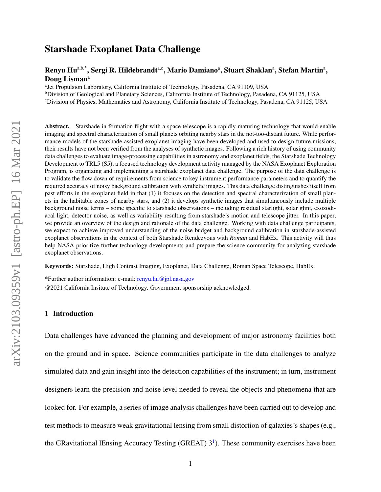# Starshade Exoplanet Data Challenge

## Renyu Hu<sup>a,b,\*</sup>, Sergi R. Hildebrandt<sup>a,c</sup>, Mario Damiano<sup>a</sup>, Stuart Shaklan<sup>a</sup>, Stefan Martin<sup>a</sup>, Doug Lisman<sup>a</sup>

<sup>a</sup> Jet Propulsion Laboratory, California Institute of Technology, Pasadena, CA 91109, USA

<sup>b</sup>Division of Geological and Planetary Sciences, California Institute of Technology, Pasadena, CA 91125, USA

<sup>c</sup>Division of Physics, Mathematics and Astronomy, California Institute of Technology, Pasadena, CA 91125, USA

Abstract. Starshade in formation flight with a space telescope is a rapidly maturing technology that would enable imaging and spectral characterization of small planets orbiting nearby stars in the not-too-distant future. While performance models of the starshade-assisted exoplanet imaging have been developed and used to design future missions, their results have not been verified from the analyses of synthetic images. Following a rich history of using community data challenges to evaluate image-processing capabilities in astronomy and exoplanet fields, the Starshade Technology Development to TRL5 (S5), a focused technology development activity managed by the NASA Exoplanet Exploration Program, is organizing and implementing a starshade exoplanet data challenge. The purpose of the data challenge is to validate the flow down of requirements from science to key instrument performance parameters and to quantify the required accuracy of noisy background calibration with synthetic images. This data challenge distinguishes itself from past efforts in the exoplanet field in that (1) it focuses on the detection and spectral characterization of small planets in the habitable zones of nearby stars, and (2) it develops synthetic images that simultaneously include multiple background noise terms – some specific to starshade observations – including residual starlight, solar glint, exozodiacal light, detector noise, as well as variability resulting from starshade's motion and telescope jitter. In this paper, we provide an overview of the design and rationale of the data challenge. Working with data challenge participants, we expect to achieve improved understanding of the noise budget and background calibration in starshade-assisted exoplanet observations in the context of both Starshade Rendezvous with *Roman* and HabEx. This activity will thus help NASA prioritize further technology developments and prepare the science community for analyzing starshade exoplanet observations.

Keywords: Starshade, High Contrast Imaging, Exoplanet, Data Challenge, Roman Space Telescope, HabEx.

\*Further author information: e-mail: renyu.hu@jpl.nasa.gov @2021 California Insitute of Technology. Government sponsorship acknowledged.

#### 1 Introduction

Data challenges have advanced the planning and development of major astronomy facilities both on the ground and in space. Science communities participate in the data challenges to analyze simulated data and gain insight into the detection capabilities of the instrument; in turn, instrument designers learn the precision and noise level needed to reveal the objects and phenomena that are looked for. For example, a series of image analysis challenges have been carried out to develop and test methods to measure weak gravitational lensing from small distortion of galaxies's shapes (e.g., the GRavitational lEnsing Accuracy Testing (GREAT)  $3<sup>1</sup>$  $3<sup>1</sup>$  $3<sup>1</sup>$ ). These community exercises have been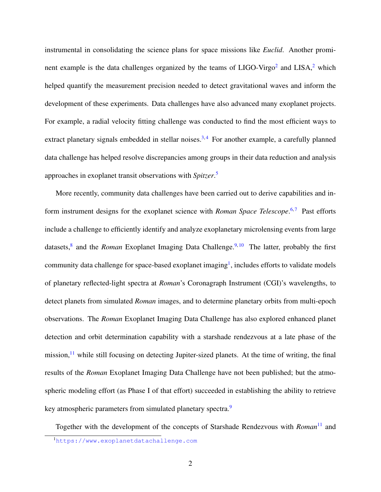instrumental in consolidating the science plans for space missions like *Euclid*. Another prominent example is the data challenges organized by the teams of  $LIGO-Virgo<sup>2</sup>$  $LIGO-Virgo<sup>2</sup>$  $LIGO-Virgo<sup>2</sup>$  and  $LISA<sup>2</sup>$ , which helped quantify the measurement precision needed to detect gravitational waves and inform the development of these experiments. Data challenges have also advanced many exoplanet projects. For example, a radial velocity fitting challenge was conducted to find the most efficient ways to extract planetary signals embedded in stellar noises.<sup>[3,](#page-13-2)[4](#page-13-3)</sup> For another example, a carefully planned data challenge has helped resolve discrepancies among groups in their data reduction and analysis approaches in exoplanet transit observations with *Spitzer*. [5](#page-13-4)

More recently, community data challenges have been carried out to derive capabilities and inform instrument designs for the exoplanet science with *Roman Space Telescope*.<sup>[6,](#page-13-5)[7](#page-13-6)</sup> Past efforts include a challenge to efficiently identify and analyze exoplanetary microlensing events from large datasets,<sup>[8](#page-13-7)</sup> and the *Roman* Exoplanet Imaging Data Challenge.<sup>[9,](#page-14-0)[10](#page-14-1)</sup> The latter, probably the first community data challenge for space-based exoplanet imaging<sup>[1](#page-1-0)</sup>, includes efforts to validate models of planetary reflected-light spectra at *Roman*'s Coronagraph Instrument (CGI)'s wavelengths, to detect planets from simulated *Roman* images, and to determine planetary orbits from multi-epoch observations. The *Roman* Exoplanet Imaging Data Challenge has also explored enhanced planet detection and orbit determination capability with a starshade rendezvous at a late phase of the mission, $11$  while still focusing on detecting Jupiter-sized planets. At the time of writing, the final results of the *Roman* Exoplanet Imaging Data Challenge have not been published; but the atmospheric modeling effort (as Phase I of that effort) succeeded in establishing the ability to retrieve key atmospheric parameters from simulated planetary spectra.<sup>[9](#page-14-0)</sup>

Together with the development of the concepts of Starshade Rendezvous with *Roman*<sup>[11](#page-14-2)</sup> and

<span id="page-1-0"></span><sup>1</sup><https://www.exoplanetdatachallenge.com>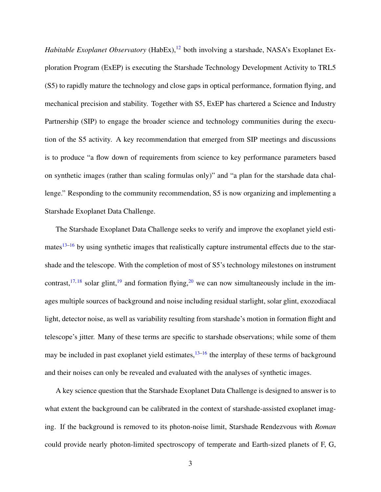*Habitable Exoplanet Observatory* (HabEx),<sup>[12](#page-14-3)</sup> both involving a starshade, NASA's Exoplanet Exploration Program (ExEP) is executing the Starshade Technology Development Activity to TRL5 (S5) to rapidly mature the technology and close gaps in optical performance, formation flying, and mechanical precision and stability. Together with S5, ExEP has chartered a Science and Industry Partnership (SIP) to engage the broader science and technology communities during the execution of the S5 activity. A key recommendation that emerged from SIP meetings and discussions is to produce "a flow down of requirements from science to key performance parameters based on synthetic images (rather than scaling formulas only)" and "a plan for the starshade data challenge." Responding to the community recommendation, S5 is now organizing and implementing a Starshade Exoplanet Data Challenge.

The Starshade Exoplanet Data Challenge seeks to verify and improve the exoplanet yield estimates $13-16$  $13-16$  by using synthetic images that realistically capture instrumental effects due to the starshade and the telescope. With the completion of most of S5's technology milestones on instrument contrast,  $17,18$  $17,18$  solar glint,  $19$  and formation flying,  $20$  we can now simultaneously include in the images multiple sources of background and noise including residual starlight, solar glint, exozodiacal light, detector noise, as well as variability resulting from starshade's motion in formation flight and telescope's jitter. Many of these terms are specific to starshade observations; while some of them may be included in past exoplanet yield estimates, $13-16$  $13-16$  the interplay of these terms of background and their noises can only be revealed and evaluated with the analyses of synthetic images.

A key science question that the Starshade Exoplanet Data Challenge is designed to answer is to what extent the background can be calibrated in the context of starshade-assisted exoplanet imaging. If the background is removed to its photon-noise limit, Starshade Rendezvous with *Roman* could provide nearly photon-limited spectroscopy of temperate and Earth-sized planets of F, G,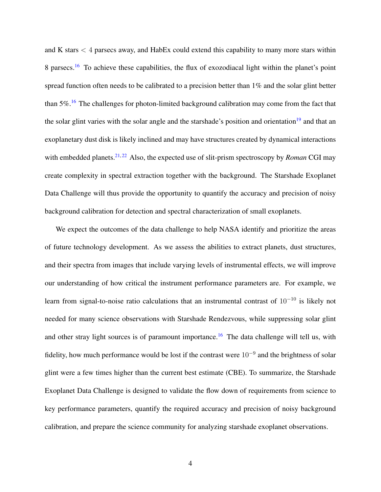and K stars  $\lt$  4 parsecs away, and HabEx could extend this capability to many more stars within 8 parsecs.[16](#page-14-5) To achieve these capabilities, the flux of exozodiacal light within the planet's point spread function often needs to be calibrated to a precision better than 1% and the solar glint better than  $5\%$ .<sup>[16](#page-14-5)</sup> The challenges for photon-limited background calibration may come from the fact that the solar glint varies with the solar angle and the starshade's position and orientation<sup>[19](#page-15-2)</sup> and that an exoplanetary dust disk is likely inclined and may have structures created by dynamical interactions with embedded planets.<sup>[21,](#page-15-4) [22](#page-15-5)</sup> Also, the expected use of slit-prism spectroscopy by *Roman* CGI may create complexity in spectral extraction together with the background. The Starshade Exoplanet Data Challenge will thus provide the opportunity to quantify the accuracy and precision of noisy background calibration for detection and spectral characterization of small exoplanets.

We expect the outcomes of the data challenge to help NASA identify and prioritize the areas of future technology development. As we assess the abilities to extract planets, dust structures, and their spectra from images that include varying levels of instrumental effects, we will improve our understanding of how critical the instrument performance parameters are. For example, we learn from signal-to-noise ratio calculations that an instrumental contrast of  $10^{-10}$  is likely not needed for many science observations with Starshade Rendezvous, while suppressing solar glint and other stray light sources is of paramount importance.<sup>[16](#page-14-5)</sup> The data challenge will tell us, with fidelity, how much performance would be lost if the contrast were  $10^{-9}$  and the brightness of solar glint were a few times higher than the current best estimate (CBE). To summarize, the Starshade Exoplanet Data Challenge is designed to validate the flow down of requirements from science to key performance parameters, quantify the required accuracy and precision of noisy background calibration, and prepare the science community for analyzing starshade exoplanet observations.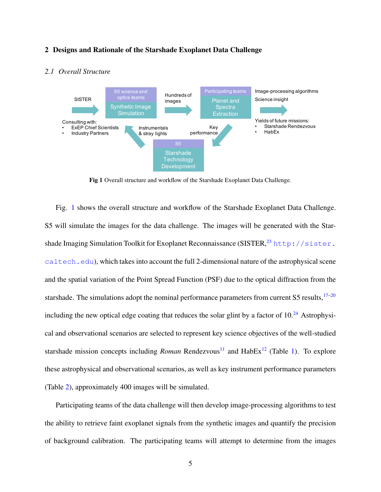#### <span id="page-4-1"></span>2 Designs and Rationale of the Starshade Exoplanet Data Challenge



## *2.1 Overall Structure*

<span id="page-4-0"></span>Fig 1 Overall structure and workflow of the Starshade Exoplanet Data Challenge.

Fig. [1](#page-4-0) shows the overall structure and workflow of the Starshade Exoplanet Data Challenge. S5 will simulate the images for the data challenge. The images will be generated with the Starshade Imaging Simulation Toolkit for Exoplanet Reconnaissance (SISTER,  $^{23}$  $^{23}$  $^{23}$  [http://sister.](http://sister.caltech.edu) [caltech.edu](http://sister.caltech.edu)), which takes into account the full 2-dimensional nature of the astrophysical scene and the spatial variation of the Point Spread Function (PSF) due to the optical diffraction from the starshade. The simulations adopt the nominal performance parameters from current S5 results, $17-20$  $17-20$ including the new optical edge coating that reduces the solar glint by a factor of  $10<sup>24</sup>$  $10<sup>24</sup>$  $10<sup>24</sup>$  Astrophysical and observational scenarios are selected to represent key science objectives of the well-studied starshade mission concepts including *Roman* Rendezvous<sup>[11](#page-14-2)</sup> and  $HabEx$ <sup>[12](#page-14-3)</sup> (Table [1\)](#page-6-0). To explore these astrophysical and observational scenarios, as well as key instrument performance parameters (Table [2\)](#page-9-0), approximately 400 images will be simulated.

Participating teams of the data challenge will then develop image-processing algorithms to test the ability to retrieve faint exoplanet signals from the synthetic images and quantify the precision of background calibration. The participating teams will attempt to determine from the images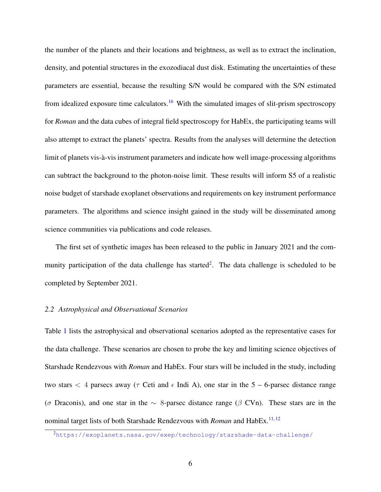the number of the planets and their locations and brightness, as well as to extract the inclination, density, and potential structures in the exozodiacal dust disk. Estimating the uncertainties of these parameters are essential, because the resulting S/N would be compared with the S/N estimated from idealized exposure time calculators.<sup>[16](#page-14-5)</sup> With the simulated images of slit-prism spectroscopy for *Roman* and the data cubes of integral field spectroscopy for HabEx, the participating teams will also attempt to extract the planets' spectra. Results from the analyses will determine the detection limit of planets vis-à-vis instrument parameters and indicate how well image-processing algorithms can subtract the background to the photon-noise limit. These results will inform S5 of a realistic noise budget of starshade exoplanet observations and requirements on key instrument performance parameters. The algorithms and science insight gained in the study will be disseminated among science communities via publications and code releases.

The first set of synthetic images has been released to the public in January 2021 and the com-munity participation of the data challenge has started<sup>[2](#page-5-0)</sup>. The data challenge is scheduled to be completed by September 2021.

#### *2.2 Astrophysical and Observational Scenarios*

Table [1](#page-6-0) lists the astrophysical and observational scenarios adopted as the representative cases for the data challenge. These scenarios are chosen to probe the key and limiting science objectives of Starshade Rendezvous with *Roman* and HabEx. Four stars will be included in the study, including two stars  $\lt$  4 parsecs away ( $\tau$  Ceti and  $\epsilon$  Indi A), one star in the 5 – 6-parsec distance range ( $\sigma$  Draconis), and one star in the  $\sim$  8-parsec distance range ( $\beta$  CVn). These stars are in the nominal target lists of both Starshade Rendezvous with *Roman* and HabEx.<sup>[11,](#page-14-2) [12](#page-14-3)</sup>

<span id="page-5-0"></span><sup>2</sup><https://exoplanets.nasa.gov/exep/technology/starshade-data-challenge/>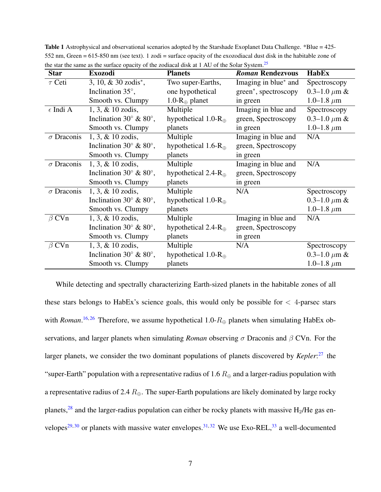| <b>Star</b>       | <b>Exozodi</b>                              | <b>Planets</b>                 | <b>Roman Rendezvous</b>           | <b>HabEx</b>               |
|-------------------|---------------------------------------------|--------------------------------|-----------------------------------|----------------------------|
| $\tau$ Ceti       | 3, 10, $& 30 \text{ zodis}^*$ ,             | Two super-Earths,              | Imaging in blue* and              | Spectroscopy               |
|                   | Inclination $35^\circ$ ,                    | one hypothetical               | green <sup>*</sup> , spectroscopy | 0.3–1.0 $\mu$ m &          |
|                   | Smooth vs. Clumpy                           | 1.0- $R_{\oplus}$ planet       | in green                          | 1.0–1.8 $\mu$ m            |
| $\epsilon$ Indi A | $1, 3, \& 10 \text{ zodis},$                | Multiple                       | Imaging in blue and               | Spectroscopy               |
|                   | Inclination 30 $^{\circ}$ & 80 $^{\circ}$ , | hypothetical 1.0- $R_{\oplus}$ | green, Spectroscopy               | 0.3–1.0 $\mu \mathrm{m}$ & |
|                   | Smooth vs. Clumpy                           | planets                        | in green                          | 1.0–1.8 $\mu$ m            |
| $\sigma$ Draconis | 1, 3, & 10 zodis,                           | Multiple                       | Imaging in blue and               | N/A                        |
|                   | Inclination 30 $\degree$ & 80 $\degree$ ,   | hypothetical 1.6- $R_{\oplus}$ | green, Spectroscopy               |                            |
|                   | Smooth vs. Clumpy                           | planets                        | in green                          |                            |
| $\sigma$ Draconis | 1, 3, & 10 zodis,                           | Multiple                       | Imaging in blue and               | N/A                        |
|                   | Inclination 30 $^{\circ}$ & 80 $^{\circ}$ , | hypothetical 2.4- $R_{\oplus}$ | green, Spectroscopy               |                            |
|                   | Smooth vs. Clumpy                           | planets                        | in green                          |                            |
| $\sigma$ Draconis | $1, 3, \& 10 \text{ zodis},$                | Multiple                       | N/A                               | Spectroscopy               |
|                   | Inclination 30 $\degree$ & 80 $\degree$ ,   | hypothetical 1.0- $R_{\oplus}$ |                                   | 0.3–1.0 $\mu$ m &          |
|                   | Smooth vs. Clumpy                           | planets                        |                                   | 1.0–1.8 $\mu$ m            |
| $\beta$ CVn       | 1, 3, & 10 zodis,                           | Multiple                       | Imaging in blue and               | N/A                        |
|                   | Inclination 30 $\degree$ & 80 $\degree$ ,   | hypothetical 2.4- $R_{\oplus}$ | green, Spectroscopy               |                            |
|                   | Smooth vs. Clumpy                           | planets                        | in green                          |                            |
| $\beta$ CVn       | $1, 3, \& 10 \text{ zodis},$                | Multiple                       | N/A                               | Spectroscopy               |
|                   | Inclination 30 $^{\circ}$ & 80 $^{\circ}$ , | hypothetical 1.0- $R_{\oplus}$ |                                   | 0.3–1.0 $\mu$ m &          |
|                   | Smooth vs. Clumpy                           | planets                        |                                   | 1.0–1.8 $\mu$ m            |

<span id="page-6-0"></span>Table 1 Astrophysical and observational scenarios adopted by the Starshade Exoplanet Data Challenge. \*Blue = 425- 552 nm, Green = 615-850 nm (see text). 1 zodi = surface opacity of the exozodiacal dust disk in the habitable zone of the star the same as the surface opacity of the zodiacal disk at 1 AU of the Solar System.[25](#page-16-0)

While detecting and spectrally characterizing Earth-sized planets in the habitable zones of all these stars belongs to HabEx's science goals, this would only be possible for  $\langle$  4-parsec stars with *Roman*.<sup>[16,](#page-14-5)[26](#page-16-1)</sup> Therefore, we assume hypothetical 1.0- $R_{\oplus}$  planets when simulating HabEx observations, and larger planets when simulating *Roman* observing σ Draconis and β CVn. For the larger planets, we consider the two dominant populations of planets discovered by *Kepler*: [27](#page-16-2) the "super-Earth" population with a representative radius of 1.6  $R_{\oplus}$  and a larger-radius population with a representative radius of 2.4  $R_{\oplus}$ . The super-Earth populations are likely dominated by large rocky planets,<sup>[28](#page-16-3)</sup> and the larger-radius population can either be rocky planets with massive  $H_2$ /He gas en-velopes<sup>[29,](#page-16-4) [30](#page-16-5)</sup> or planets with massive water envelopes.<sup>[31,](#page-16-6) [32](#page-16-7)</sup> We use Exo-REL, <sup>[33](#page-17-0)</sup> a well-documented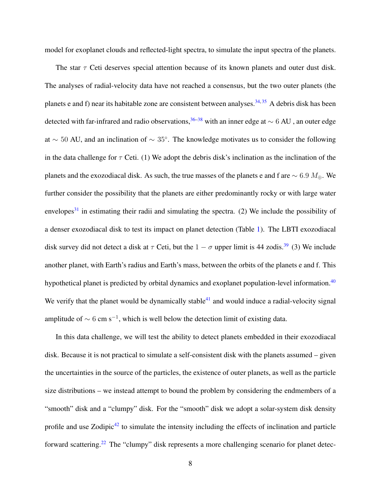model for exoplanet clouds and reflected-light spectra, to simulate the input spectra of the planets.

The star  $\tau$  Ceti deserves special attention because of its known planets and outer dust disk. The analyses of radial-velocity data have not reached a consensus, but the two outer planets (the planets e and f) near its habitable zone are consistent between analyses.  $34,35$  $34,35$  A debris disk has been detected with far-infrared and radio observations,<sup>[36–](#page-17-3)[38](#page-17-4)</sup> with an inner edge at  $\sim 6$  AU , an outer edge at  $\sim$  50 AU, and an inclination of  $\sim$  35°. The knowledge motivates us to consider the following in the data challenge for  $\tau$  Ceti. (1) We adopt the debris disk's inclination as the inclination of the planets and the exozodiacal disk. As such, the true masses of the planets e and f are  $\sim 6.9$   $M_{\oplus}$ . We further consider the possibility that the planets are either predominantly rocky or with large water envelopes<sup>[31](#page-16-6)</sup> in estimating their radii and simulating the spectra. (2) We include the possibility of a denser exozodiacal disk to test its impact on planet detection (Table [1\)](#page-6-0). The LBTI exozodiacal disk survey did not detect a disk at  $\tau$  Ceti, but the  $1 - \sigma$  upper limit is 44 zodis.<sup>[39](#page-17-5)</sup> (3) We include another planet, with Earth's radius and Earth's mass, between the orbits of the planets e and f. This hypothetical planet is predicted by orbital dynamics and exoplanet population-level information.<sup>[40](#page-17-6)</sup> We verify that the planet would be dynamically stable<sup>[41](#page-17-7)</sup> and would induce a radial-velocity signal amplitude of  $\sim 6$  cm s<sup>-1</sup>, which is well below the detection limit of existing data.

In this data challenge, we will test the ability to detect planets embedded in their exozodiacal disk. Because it is not practical to simulate a self-consistent disk with the planets assumed – given the uncertainties in the source of the particles, the existence of outer planets, as well as the particle size distributions – we instead attempt to bound the problem by considering the endmembers of a "smooth" disk and a "clumpy" disk. For the "smooth" disk we adopt a solar-system disk density profile and use Zodipic<sup>[42](#page-18-0)</sup> to simulate the intensity including the effects of inclination and particle forward scattering.[22](#page-15-5) The "clumpy" disk represents a more challenging scenario for planet detec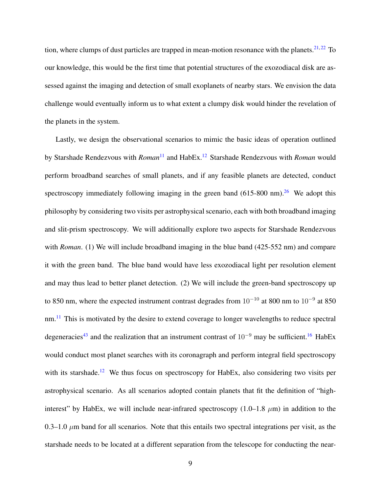tion, where clumps of dust particles are trapped in mean-motion resonance with the planets.<sup>[21,](#page-15-4) [22](#page-15-5)</sup> To our knowledge, this would be the first time that potential structures of the exozodiacal disk are assessed against the imaging and detection of small exoplanets of nearby stars. We envision the data challenge would eventually inform us to what extent a clumpy disk would hinder the revelation of the planets in the system.

Lastly, we design the observational scenarios to mimic the basic ideas of operation outlined by Starshade Rendezvous with *Roman*<sup>[11](#page-14-2)</sup> and HabEx.<sup>[12](#page-14-3)</sup> Starshade Rendezvous with *Roman* would perform broadband searches of small planets, and if any feasible planets are detected, conduct spectroscopy immediately following imaging in the green band  $(615-800 \text{ nm})^{26}$  $(615-800 \text{ nm})^{26}$  $(615-800 \text{ nm})^{26}$ . We adopt this philosophy by considering two visits per astrophysical scenario, each with both broadband imaging and slit-prism spectroscopy. We will additionally explore two aspects for Starshade Rendezvous with *Roman*. (1) We will include broadband imaging in the blue band (425-552 nm) and compare it with the green band. The blue band would have less exozodiacal light per resolution element and may thus lead to better planet detection. (2) We will include the green-band spectroscopy up to 850 nm, where the expected instrument contrast degrades from  $10^{-10}$  at 800 nm to  $10^{-9}$  at 850 nm.<sup>[11](#page-14-2)</sup> This is motivated by the desire to extend coverage to longer wavelengths to reduce spectral degeneracies<sup>[43](#page-18-1)</sup> and the realization that an instrument contrast of  $10^{-9}$  may be sufficient.<sup>[16](#page-14-5)</sup> HabEx would conduct most planet searches with its coronagraph and perform integral field spectroscopy with its starshade.<sup>[12](#page-14-3)</sup> We thus focus on spectroscopy for HabEx, also considering two visits per astrophysical scenario. As all scenarios adopted contain planets that fit the definition of "highinterest" by HabEx, we will include near-infrared spectroscopy  $(1.0-1.8 \mu m)$  in addition to the 0.3–1.0  $\mu$ m band for all scenarios. Note that this entails two spectral integrations per visit, as the starshade needs to be located at a different separation from the telescope for conducting the near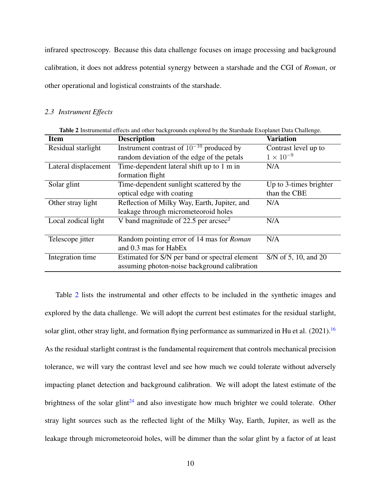infrared spectroscopy. Because this data challenge focuses on image processing and background calibration, it does not address potential synergy between a starshade and the CGI of *Roman*, or other operational and logistical constraints of the starshade.

#### *2.3 Instrument Effects*

<span id="page-9-0"></span>

| <b>Variation</b><br><b>Item</b><br><b>Description</b><br>Instrument contrast of $10^{-10}$ produced by<br>Residual starlight<br>Contrast level up to<br>$1 \times 10^{-9}$<br>random deviation of the edge of the petals<br>Time-dependent lateral shift up to 1 m in<br>Lateral displacement<br>N/A<br>formation flight<br>Time-dependent sunlight scattered by the<br>Up to 3-times brighter<br>Solar glint<br>than the CBE<br>optical edge with coating<br>Reflection of Milky Way, Earth, Jupiter, and<br>Other stray light<br>N/A<br>leakage through micrometeoroid holes<br>V band magnitude of 22.5 per arcsec <sup>2</sup><br>Local zodical light<br>N/A<br>Random pointing error of 14 mas for Roman<br>N/A<br>Telescope <i>jitter</i><br>and 0.3 mas for HabEx<br>Integration time<br>S/N of 5, 10, and 20<br>Estimated for S/N per band or spectral element<br>assuming photon-noise background calibration | Table 2 Instrumental effects and other backgrounds explored by the Starshade Exoplanet Data Challenge. |  |  |  |  |
|------------------------------------------------------------------------------------------------------------------------------------------------------------------------------------------------------------------------------------------------------------------------------------------------------------------------------------------------------------------------------------------------------------------------------------------------------------------------------------------------------------------------------------------------------------------------------------------------------------------------------------------------------------------------------------------------------------------------------------------------------------------------------------------------------------------------------------------------------------------------------------------------------------------------|--------------------------------------------------------------------------------------------------------|--|--|--|--|
|                                                                                                                                                                                                                                                                                                                                                                                                                                                                                                                                                                                                                                                                                                                                                                                                                                                                                                                        |                                                                                                        |  |  |  |  |
|                                                                                                                                                                                                                                                                                                                                                                                                                                                                                                                                                                                                                                                                                                                                                                                                                                                                                                                        |                                                                                                        |  |  |  |  |
|                                                                                                                                                                                                                                                                                                                                                                                                                                                                                                                                                                                                                                                                                                                                                                                                                                                                                                                        |                                                                                                        |  |  |  |  |
|                                                                                                                                                                                                                                                                                                                                                                                                                                                                                                                                                                                                                                                                                                                                                                                                                                                                                                                        |                                                                                                        |  |  |  |  |
|                                                                                                                                                                                                                                                                                                                                                                                                                                                                                                                                                                                                                                                                                                                                                                                                                                                                                                                        |                                                                                                        |  |  |  |  |
|                                                                                                                                                                                                                                                                                                                                                                                                                                                                                                                                                                                                                                                                                                                                                                                                                                                                                                                        |                                                                                                        |  |  |  |  |
|                                                                                                                                                                                                                                                                                                                                                                                                                                                                                                                                                                                                                                                                                                                                                                                                                                                                                                                        |                                                                                                        |  |  |  |  |
|                                                                                                                                                                                                                                                                                                                                                                                                                                                                                                                                                                                                                                                                                                                                                                                                                                                                                                                        |                                                                                                        |  |  |  |  |
|                                                                                                                                                                                                                                                                                                                                                                                                                                                                                                                                                                                                                                                                                                                                                                                                                                                                                                                        |                                                                                                        |  |  |  |  |
|                                                                                                                                                                                                                                                                                                                                                                                                                                                                                                                                                                                                                                                                                                                                                                                                                                                                                                                        |                                                                                                        |  |  |  |  |
|                                                                                                                                                                                                                                                                                                                                                                                                                                                                                                                                                                                                                                                                                                                                                                                                                                                                                                                        |                                                                                                        |  |  |  |  |
|                                                                                                                                                                                                                                                                                                                                                                                                                                                                                                                                                                                                                                                                                                                                                                                                                                                                                                                        |                                                                                                        |  |  |  |  |
|                                                                                                                                                                                                                                                                                                                                                                                                                                                                                                                                                                                                                                                                                                                                                                                                                                                                                                                        |                                                                                                        |  |  |  |  |
|                                                                                                                                                                                                                                                                                                                                                                                                                                                                                                                                                                                                                                                                                                                                                                                                                                                                                                                        |                                                                                                        |  |  |  |  |
|                                                                                                                                                                                                                                                                                                                                                                                                                                                                                                                                                                                                                                                                                                                                                                                                                                                                                                                        |                                                                                                        |  |  |  |  |

Table [2](#page-9-0) lists the instrumental and other effects to be included in the synthetic images and explored by the data challenge. We will adopt the current best estimates for the residual starlight, solar glint, other stray light, and formation flying performance as summarized in Hu et al. (2021).<sup>[16](#page-14-5)</sup> As the residual starlight contrast is the fundamental requirement that controls mechanical precision tolerance, we will vary the contrast level and see how much we could tolerate without adversely impacting planet detection and background calibration. We will adopt the latest estimate of the brightness of the solar glint<sup>[24](#page-15-7)</sup> and also investigate how much brighter we could tolerate. Other stray light sources such as the reflected light of the Milky Way, Earth, Jupiter, as well as the leakage through micrometeoroid holes, will be dimmer than the solar glint by a factor of at least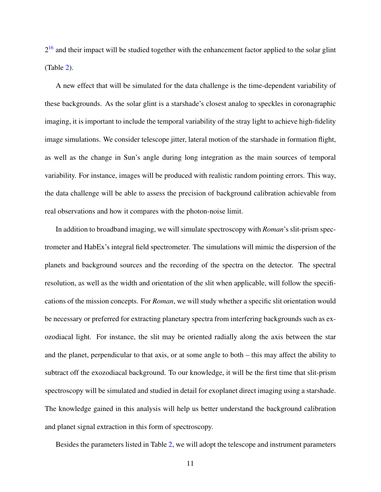$2^{16}$  $2^{16}$  $2^{16}$  and their impact will be studied together with the enhancement factor applied to the solar glint (Table [2\)](#page-9-0).

A new effect that will be simulated for the data challenge is the time-dependent variability of these backgrounds. As the solar glint is a starshade's closest analog to speckles in coronagraphic imaging, it is important to include the temporal variability of the stray light to achieve high-fidelity image simulations. We consider telescope jitter, lateral motion of the starshade in formation flight, as well as the change in Sun's angle during long integration as the main sources of temporal variability. For instance, images will be produced with realistic random pointing errors. This way, the data challenge will be able to assess the precision of background calibration achievable from real observations and how it compares with the photon-noise limit.

In addition to broadband imaging, we will simulate spectroscopy with *Roman*'s slit-prism spectrometer and HabEx's integral field spectrometer. The simulations will mimic the dispersion of the planets and background sources and the recording of the spectra on the detector. The spectral resolution, as well as the width and orientation of the slit when applicable, will follow the specifications of the mission concepts. For *Roman*, we will study whether a specific slit orientation would be necessary or preferred for extracting planetary spectra from interfering backgrounds such as exozodiacal light. For instance, the slit may be oriented radially along the axis between the star and the planet, perpendicular to that axis, or at some angle to both – this may affect the ability to subtract off the exozodiacal background. To our knowledge, it will be the first time that slit-prism spectroscopy will be simulated and studied in detail for exoplanet direct imaging using a starshade. The knowledge gained in this analysis will help us better understand the background calibration and planet signal extraction in this form of spectroscopy.

Besides the parameters listed in Table [2,](#page-9-0) we will adopt the telescope and instrument parameters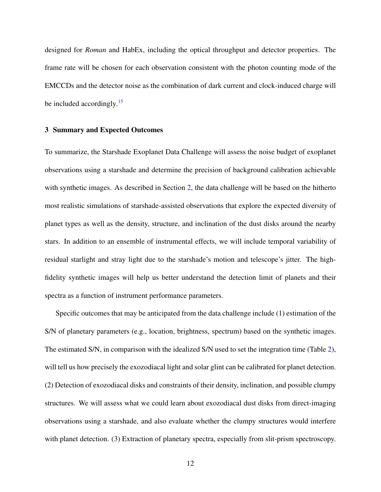designed for *Roman* and HabEx, including the optical throughput and detector properties. The frame rate will be chosen for each observation consistent with the photon counting mode of the EMCCDs and the detector noise as the combination of dark current and clock-induced charge will be included accordingly.<sup>[15](#page-14-6)</sup>

#### 3 Summary and Expected Outcomes

To summarize, the Starshade Exoplanet Data Challenge will assess the noise budget of exoplanet observations using a starshade and determine the precision of background calibration achievable with synthetic images. As described in Section [2,](#page-4-1) the data challenge will be based on the hitherto most realistic simulations of starshade-assisted observations that explore the expected diversity of planet types as well as the density, structure, and inclination of the dust disks around the nearby stars. In addition to an ensemble of instrumental effects, we will include temporal variability of residual starlight and stray light due to the starshade's motion and telescope's jitter. The highfidelity synthetic images will help us better understand the detection limit of planets and their spectra as a function of instrument performance parameters.

Specific outcomes that may be anticipated from the data challenge include (1) estimation of the S/N of planetary parameters (e.g., location, brightness, spectrum) based on the synthetic images. The estimated S/N, in comparison with the idealized S/N used to set the integration time (Table [2\)](#page-9-0), will tell us how precisely the exozodiacal light and solar glint can be calibrated for planet detection. (2) Detection of exozodiacal disks and constraints of their density, inclination, and possible clumpy structures. We will assess what we could learn about exozodiacal dust disks from direct-imaging observations using a starshade, and also evaluate whether the clumpy structures would interfere with planet detection. (3) Extraction of planetary spectra, especially from slit-prism spectroscopy.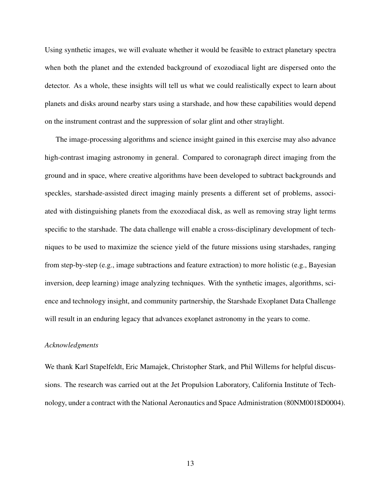Using synthetic images, we will evaluate whether it would be feasible to extract planetary spectra when both the planet and the extended background of exozodiacal light are dispersed onto the detector. As a whole, these insights will tell us what we could realistically expect to learn about planets and disks around nearby stars using a starshade, and how these capabilities would depend on the instrument contrast and the suppression of solar glint and other straylight.

The image-processing algorithms and science insight gained in this exercise may also advance high-contrast imaging astronomy in general. Compared to coronagraph direct imaging from the ground and in space, where creative algorithms have been developed to subtract backgrounds and speckles, starshade-assisted direct imaging mainly presents a different set of problems, associated with distinguishing planets from the exozodiacal disk, as well as removing stray light terms specific to the starshade. The data challenge will enable a cross-disciplinary development of techniques to be used to maximize the science yield of the future missions using starshades, ranging from step-by-step (e.g., image subtractions and feature extraction) to more holistic (e.g., Bayesian inversion, deep learning) image analyzing techniques. With the synthetic images, algorithms, science and technology insight, and community partnership, the Starshade Exoplanet Data Challenge will result in an enduring legacy that advances exoplanet astronomy in the years to come.

## *Acknowledgments*

We thank Karl Stapelfeldt, Eric Mamajek, Christopher Stark, and Phil Willems for helpful discussions. The research was carried out at the Jet Propulsion Laboratory, California Institute of Technology, under a contract with the National Aeronautics and Space Administration (80NM0018D0004).

13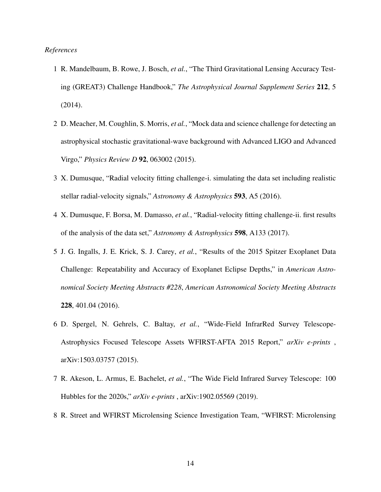### <span id="page-13-0"></span>*References*

- 1 R. Mandelbaum, B. Rowe, J. Bosch, *et al.*, "The Third Gravitational Lensing Accuracy Testing (GREAT3) Challenge Handbook," *The Astrophysical Journal Supplement Series* 212, 5 (2014).
- <span id="page-13-1"></span>2 D. Meacher, M. Coughlin, S. Morris, *et al.*, "Mock data and science challenge for detecting an astrophysical stochastic gravitational-wave background with Advanced LIGO and Advanced Virgo," *Physics Review D* 92, 063002 (2015).
- <span id="page-13-2"></span>3 X. Dumusque, "Radial velocity fitting challenge-i. simulating the data set including realistic stellar radial-velocity signals," *Astronomy & Astrophysics* 593, A5 (2016).
- <span id="page-13-3"></span>4 X. Dumusque, F. Borsa, M. Damasso, *et al.*, "Radial-velocity fitting challenge-ii. first results of the analysis of the data set," *Astronomy & Astrophysics* 598, A133 (2017).
- <span id="page-13-4"></span>5 J. G. Ingalls, J. E. Krick, S. J. Carey, *et al.*, "Results of the 2015 Spitzer Exoplanet Data Challenge: Repeatability and Accuracy of Exoplanet Eclipse Depths," in *American Astronomical Society Meeting Abstracts #228*, *American Astronomical Society Meeting Abstracts* 228, 401.04 (2016).
- <span id="page-13-5"></span>6 D. Spergel, N. Gehrels, C. Baltay, *et al.*, "Wide-Field InfrarRed Survey Telescope-Astrophysics Focused Telescope Assets WFIRST-AFTA 2015 Report," *arXiv e-prints* , arXiv:1503.03757 (2015).
- <span id="page-13-6"></span>7 R. Akeson, L. Armus, E. Bachelet, *et al.*, "The Wide Field Infrared Survey Telescope: 100 Hubbles for the 2020s," *arXiv e-prints* , arXiv:1902.05569 (2019).
- <span id="page-13-7"></span>8 R. Street and WFIRST Microlensing Science Investigation Team, "WFIRST: Microlensing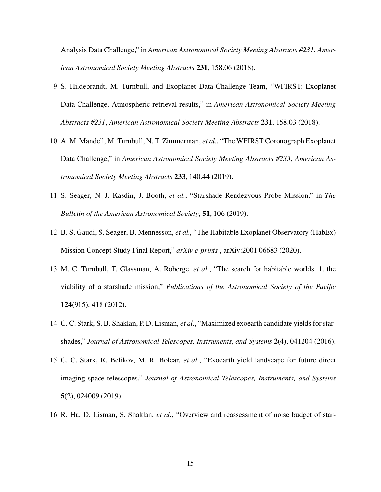Analysis Data Challenge," in *American Astronomical Society Meeting Abstracts #231*, *American Astronomical Society Meeting Abstracts* 231, 158.06 (2018).

- <span id="page-14-0"></span>9 S. Hildebrandt, M. Turnbull, and Exoplanet Data Challenge Team, "WFIRST: Exoplanet Data Challenge. Atmospheric retrieval results," in *American Astronomical Society Meeting Abstracts #231*, *American Astronomical Society Meeting Abstracts* 231, 158.03 (2018).
- <span id="page-14-1"></span>10 A. M. Mandell, M. Turnbull, N. T. Zimmerman, *et al.*, "The WFIRST Coronograph Exoplanet Data Challenge," in *American Astronomical Society Meeting Abstracts #233*, *American Astronomical Society Meeting Abstracts* 233, 140.44 (2019).
- <span id="page-14-2"></span>11 S. Seager, N. J. Kasdin, J. Booth, *et al.*, "Starshade Rendezvous Probe Mission," in *The Bulletin of the American Astronomical Society*, 51, 106 (2019).
- <span id="page-14-3"></span>12 B. S. Gaudi, S. Seager, B. Mennesson, *et al.*, "The Habitable Exoplanet Observatory (HabEx) Mission Concept Study Final Report," *arXiv e-prints* , arXiv:2001.06683 (2020).
- <span id="page-14-4"></span>13 M. C. Turnbull, T. Glassman, A. Roberge, *et al.*, "The search for habitable worlds. 1. the viability of a starshade mission," *Publications of the Astronomical Society of the Pacific* 124(915), 418 (2012).
- 14 C. C. Stark, S. B. Shaklan, P. D. Lisman, *et al.*, "Maximized exoearth candidate yields for starshades," *Journal of Astronomical Telescopes, Instruments, and Systems* 2(4), 041204 (2016).
- <span id="page-14-6"></span>15 C. C. Stark, R. Belikov, M. R. Bolcar, *et al.*, "Exoearth yield landscape for future direct imaging space telescopes," *Journal of Astronomical Telescopes, Instruments, and Systems* 5(2), 024009 (2019).
- <span id="page-14-5"></span>16 R. Hu, D. Lisman, S. Shaklan, *et al.*, "Overview and reassessment of noise budget of star-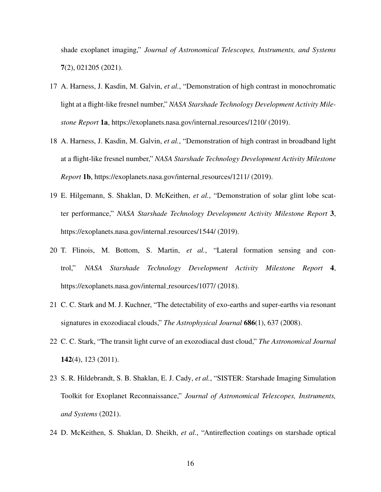shade exoplanet imaging," *Journal of Astronomical Telescopes, Instruments, and Systems* 7(2), 021205 (2021).

- <span id="page-15-0"></span>17 A. Harness, J. Kasdin, M. Galvin, *et al.*, "Demonstration of high contrast in monochromatic light at a flight-like fresnel number," *NASA Starshade Technology Development Activity Milestone Report* 1a, https://exoplanets.nasa.gov/internal resources/1210/ (2019).
- <span id="page-15-1"></span>18 A. Harness, J. Kasdin, M. Galvin, *et al.*, "Demonstration of high contrast in broadband light at a flight-like fresnel number," *NASA Starshade Technology Development Activity Milestone Report* 1b, https://exoplanets.nasa.gov/internal\_resources/1211/ (2019).
- <span id="page-15-2"></span>19 E. Hilgemann, S. Shaklan, D. McKeithen, *et al.*, "Demonstration of solar glint lobe scatter performance," *NASA Starshade Technology Development Activity Milestone Report* 3, https://exoplanets.nasa.gov/internal\_resources/1544/ (2019).
- <span id="page-15-3"></span>20 T. Flinois, M. Bottom, S. Martin, *et al.*, "Lateral formation sensing and control," *NASA Starshade Technology Development Activity Milestone Report* 4, https://exoplanets.nasa.gov/internal\_resources/1077/ (2018).
- <span id="page-15-4"></span>21 C. C. Stark and M. J. Kuchner, "The detectability of exo-earths and super-earths via resonant signatures in exozodiacal clouds," *The Astrophysical Journal* 686(1), 637 (2008).
- <span id="page-15-5"></span>22 C. C. Stark, "The transit light curve of an exozodiacal dust cloud," *The Astronomical Journal* 142(4), 123 (2011).
- <span id="page-15-6"></span>23 S. R. Hildebrandt, S. B. Shaklan, E. J. Cady, *et al.*, "SISTER: Starshade Imaging Simulation Toolkit for Exoplanet Reconnaissance," *Journal of Astronomical Telescopes, Instruments, and Systems* (2021).
- <span id="page-15-7"></span>24 D. McKeithen, S. Shaklan, D. Sheikh, *et al.*, "Antireflection coatings on starshade optical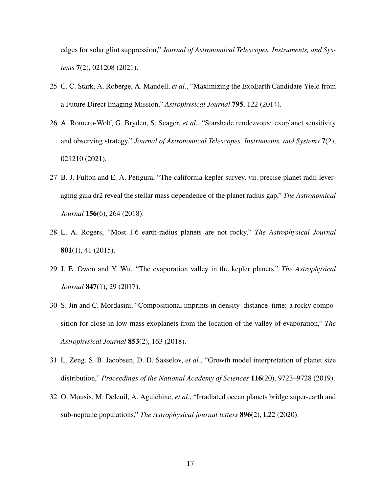edges for solar glint suppression," *Journal of Astronomical Telescopes, Instruments, and Systems* 7(2), 021208 (2021).

- <span id="page-16-0"></span>25 C. C. Stark, A. Roberge, A. Mandell, *et al.*, "Maximizing the ExoEarth Candidate Yield from a Future Direct Imaging Mission," *Astrophysical Journal* 795, 122 (2014).
- <span id="page-16-1"></span>26 A. Romero-Wolf, G. Bryden, S. Seager, *et al.*, "Starshade rendezvous: exoplanet sensitivity and observing strategy," *Journal of Astronomical Telescopes, Instruments, and Systems* 7(2), 021210 (2021).
- <span id="page-16-2"></span>27 B. J. Fulton and E. A. Petigura, "The california-kepler survey. vii. precise planet radii leveraging gaia dr2 reveal the stellar mass dependence of the planet radius gap," *The Astronomical Journal* 156(6), 264 (2018).
- <span id="page-16-3"></span>28 L. A. Rogers, "Most 1.6 earth-radius planets are not rocky," *The Astrophysical Journal* 801(1), 41 (2015).
- <span id="page-16-4"></span>29 J. E. Owen and Y. Wu, "The evaporation valley in the kepler planets," *The Astrophysical Journal* 847(1), 29 (2017).
- <span id="page-16-5"></span>30 S. Jin and C. Mordasini, "Compositional imprints in density–distance–time: a rocky composition for close-in low-mass exoplanets from the location of the valley of evaporation," *The Astrophysical Journal* 853(2), 163 (2018).
- <span id="page-16-6"></span>31 L. Zeng, S. B. Jacobsen, D. D. Sasselov, *et al.*, "Growth model interpretation of planet size distribution," *Proceedings of the National Academy of Sciences* 116(20), 9723–9728 (2019).
- <span id="page-16-7"></span>32 O. Mousis, M. Deleuil, A. Aguichine, *et al.*, "Irradiated ocean planets bridge super-earth and sub-neptune populations," *The Astrophysical journal letters* 896(2), L22 (2020).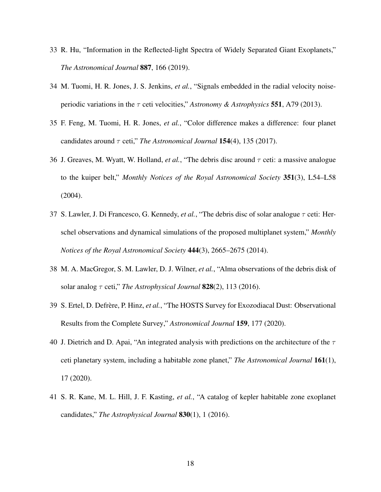- <span id="page-17-0"></span>33 R. Hu, "Information in the Reflected-light Spectra of Widely Separated Giant Exoplanets," *The Astronomical Journal* 887, 166 (2019).
- <span id="page-17-1"></span>34 M. Tuomi, H. R. Jones, J. S. Jenkins, *et al.*, "Signals embedded in the radial velocity noiseperiodic variations in the τ ceti velocities," *Astronomy & Astrophysics* 551, A79 (2013).
- <span id="page-17-2"></span>35 F. Feng, M. Tuomi, H. R. Jones, *et al.*, "Color difference makes a difference: four planet candidates around  $\tau$  ceti," *The Astronomical Journal* **154**(4), 135 (2017).
- <span id="page-17-3"></span>36 J. Greaves, M. Wyatt, W. Holland, *et al.*, "The debris disc around τ ceti: a massive analogue to the kuiper belt," *Monthly Notices of the Royal Astronomical Society* 351(3), L54–L58 (2004).
- 37 S. Lawler, J. Di Francesco, G. Kennedy, *et al.*, "The debris disc of solar analogue τ ceti: Herschel observations and dynamical simulations of the proposed multiplanet system," *Monthly Notices of the Royal Astronomical Society* 444(3), 2665–2675 (2014).
- <span id="page-17-4"></span>38 M. A. MacGregor, S. M. Lawler, D. J. Wilner, *et al.*, "Alma observations of the debris disk of solar analog τ ceti," *The Astrophysical Journal* 828(2), 113 (2016).
- <span id="page-17-5"></span>39 S. Ertel, D. Defrère, P. Hinz, et al., "The HOSTS Survey for Exozodiacal Dust: Observational Results from the Complete Survey," *Astronomical Journal* 159, 177 (2020).
- <span id="page-17-6"></span>40 J. Dietrich and D. Apai, "An integrated analysis with predictions on the architecture of the  $\tau$ ceti planetary system, including a habitable zone planet," *The Astronomical Journal* 161(1), 17 (2020).
- <span id="page-17-7"></span>41 S. R. Kane, M. L. Hill, J. F. Kasting, *et al.*, "A catalog of kepler habitable zone exoplanet candidates," *The Astrophysical Journal* 830(1), 1 (2016).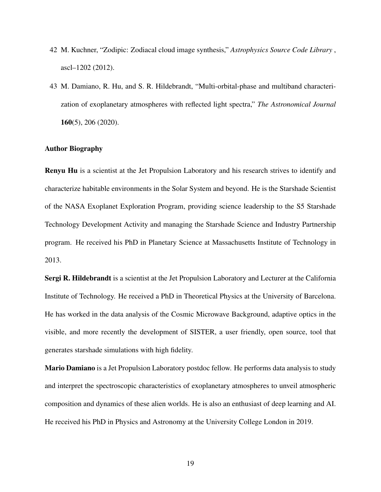- <span id="page-18-0"></span>42 M. Kuchner, "Zodipic: Zodiacal cloud image synthesis," *Astrophysics Source Code Library* , ascl–1202 (2012).
- <span id="page-18-1"></span>43 M. Damiano, R. Hu, and S. R. Hildebrandt, "Multi-orbital-phase and multiband characterization of exoplanetary atmospheres with reflected light spectra," *The Astronomical Journal* 160(5), 206 (2020).

### Author Biography

Renyu Hu is a scientist at the Jet Propulsion Laboratory and his research strives to identify and characterize habitable environments in the Solar System and beyond. He is the Starshade Scientist of the NASA Exoplanet Exploration Program, providing science leadership to the S5 Starshade Technology Development Activity and managing the Starshade Science and Industry Partnership program. He received his PhD in Planetary Science at Massachusetts Institute of Technology in 2013.

Sergi R. Hildebrandt is a scientist at the Jet Propulsion Laboratory and Lecturer at the California Institute of Technology. He received a PhD in Theoretical Physics at the University of Barcelona. He has worked in the data analysis of the Cosmic Microwave Background, adaptive optics in the visible, and more recently the development of SISTER, a user friendly, open source, tool that generates starshade simulations with high fidelity.

Mario Damiano is a Jet Propulsion Laboratory postdoc fellow. He performs data analysis to study and interpret the spectroscopic characteristics of exoplanetary atmospheres to unveil atmospheric composition and dynamics of these alien worlds. He is also an enthusiast of deep learning and AI. He received his PhD in Physics and Astronomy at the University College London in 2019.